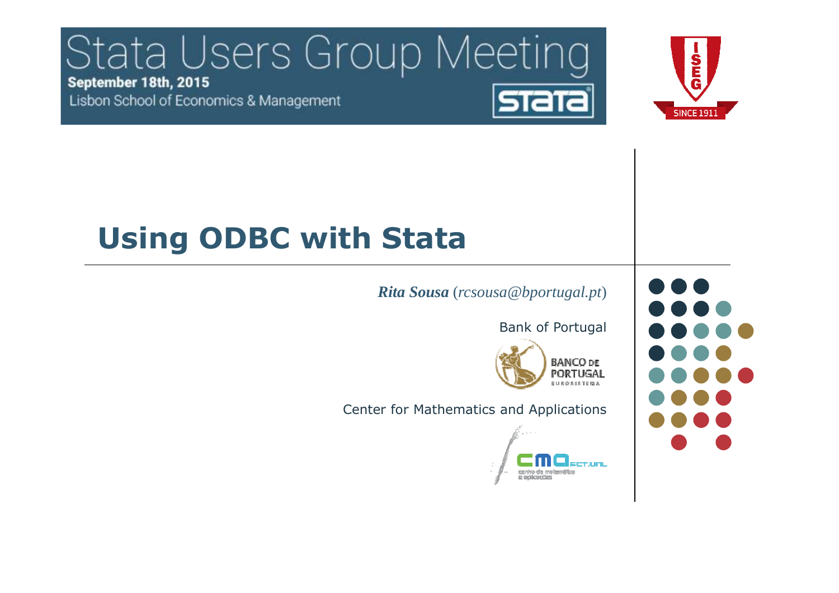#### Stata Users Group Meeting September 18th, 2015 **STATA** Lisbon School of Economics & Management



# **Using ODBC with Stata**

#### *Rita Sousa* (*rcsousa@bportugal.pt*)

Bank of Portugal

**BANCO DE PORTUGAL ELEGSISTEMA** 

Center for Mathematics and Applications



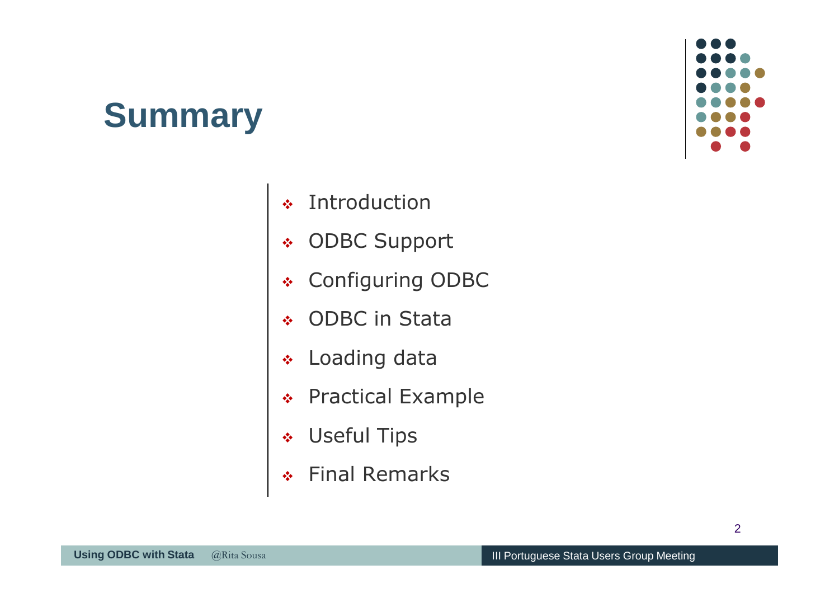#### **Summary**



- $\frac{1}{2}$ Introduction
- $\frac{1}{2}$ ODBC Support
- $\frac{1}{2}$ Configuring ODBC
- $\sigma_{\rm eff}^{\rm R}$ ODBC in Stata
- $\frac{1}{2}$ Loading data
- \* Practical Example
- $\frac{1}{2}$ Useful Tips
- Final Remarks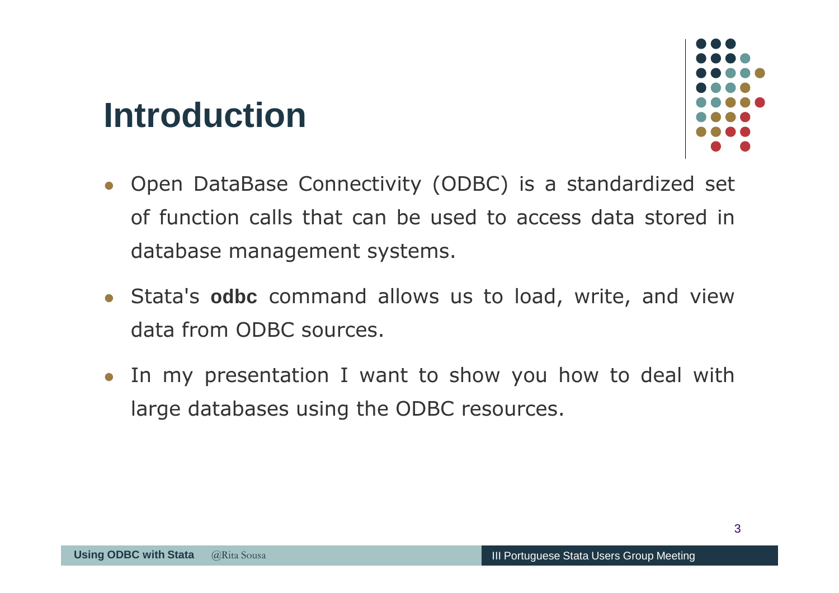#### **Introduction**



- Open DataBase Connectivity (ODBC) is <sup>a</sup> standardized set of function calls that can be used to access data stored in database management systems.
- Stata's **odbc** command allows us to load, write, and viewdata from ODBC sources.
- In my presentation I want to show you how to deal with large databases using the ODBC resources.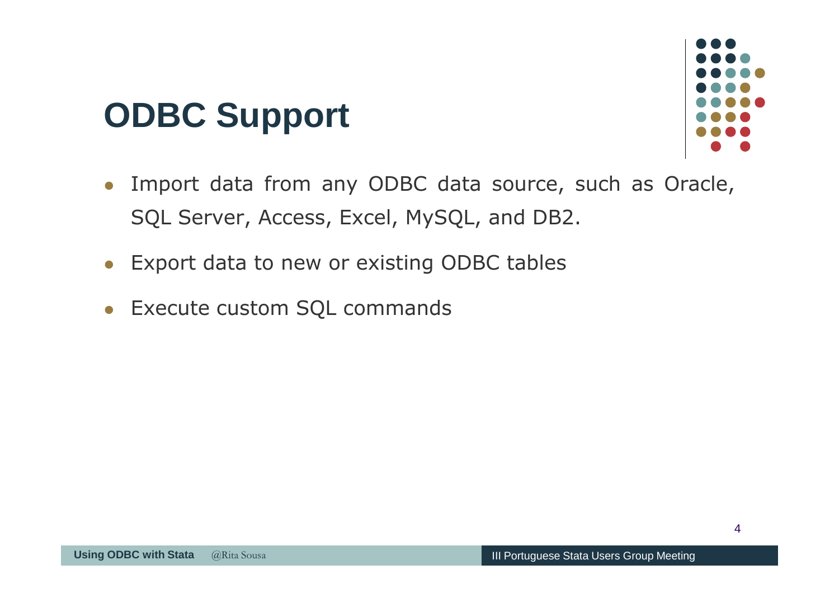### **ODBC Support**



- Import data from any ODBC data source, such as Oracle, SQL Server, Access, Excel, MySQL, and DB2.
- Export data to new or existing ODBC tables
- Execute custom SQL commands -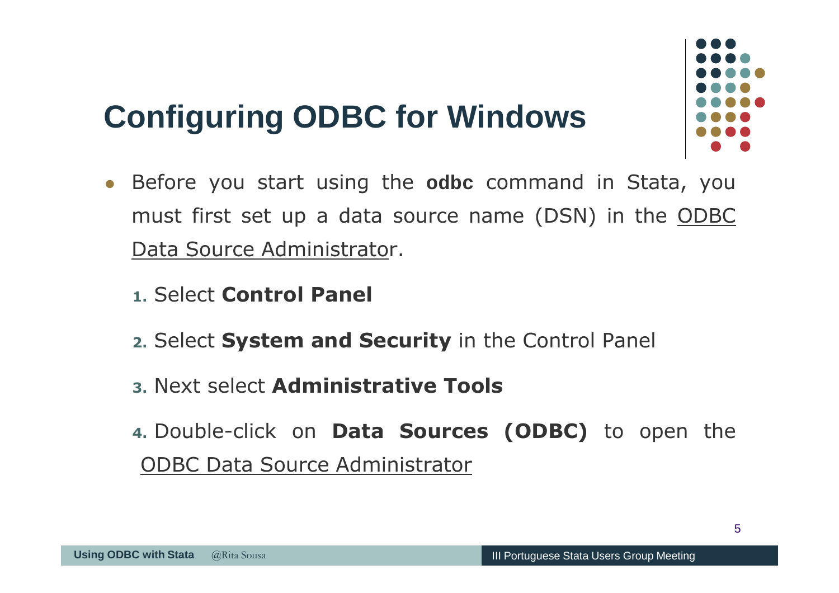

- Before you start using the **odbc** command in Stata, you must first set up <sup>a</sup> data source name (DSN) in the ODBC Data Source Administrator.
	- **1.** Select **Control Panel**
	- **2.** Select **System and Security** in the Control Panel
	- **3.** Next select **Administrative Tools**
	- **4.** Double-click on **Data Sources (ODBC)** to open the ODBC Data Source Administrator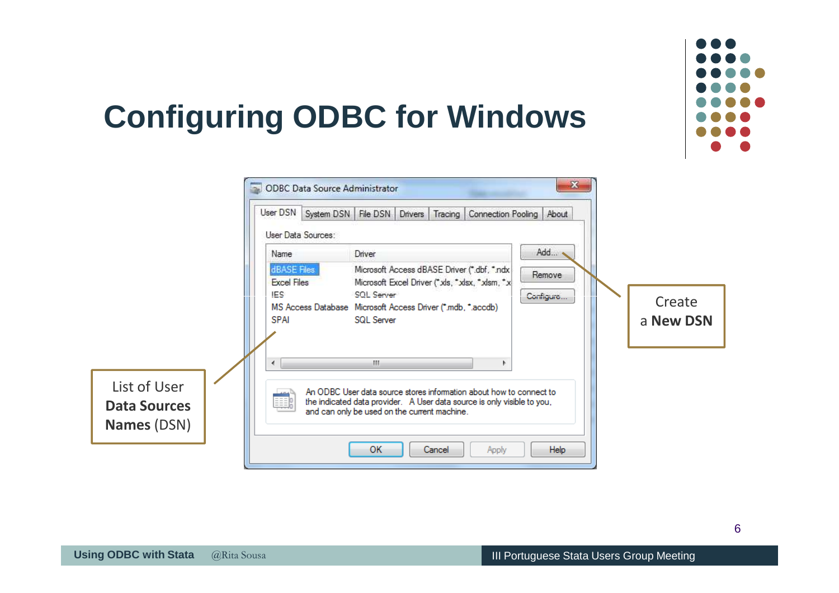

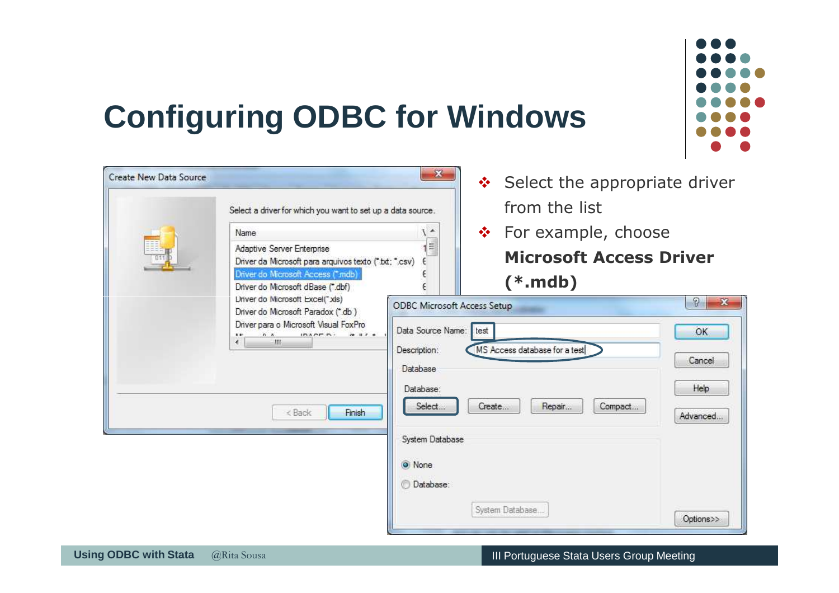

| Create New Data Source |                                                                                     | $\mathbf{x}$                       | ❖ Select the appropriate driver              |                          |  |  |  |  |
|------------------------|-------------------------------------------------------------------------------------|------------------------------------|----------------------------------------------|--------------------------|--|--|--|--|
|                        | Select a driver for which you want to set up a data source.                         |                                    | from the list                                |                          |  |  |  |  |
|                        | Name                                                                                | $\sqrt{2}$                         | $\div$ For example, choose                   |                          |  |  |  |  |
|                        | Adaptive Server Enterprise<br>Driver da Microsoft para arquivos texto (".bd; ".csv) |                                    | $1 \equiv$<br><b>Microsoft Access Driver</b> |                          |  |  |  |  |
|                        | Driver do Microsoft Access (".mdb)<br>Driver do Microsoft dBase (*.dbf)             |                                    | $(*.\mathsf{mdb})$                           |                          |  |  |  |  |
|                        | Driver do Microsoft Excel(*xls)<br>Driver do Microsoft Paradox (*.db)               | <b>ODBC Microsoft Access Setup</b> |                                              | $\Omega$<br>$\mathbf{x}$ |  |  |  |  |
|                        | Driver para o Microsoft Visual FoxPro<br>$PAPFR+$<br>$70.117 - 6$<br>$-10$<br>é.    | Data Source Name:                  | test                                         | OK                       |  |  |  |  |
|                        |                                                                                     | Description:                       | MS Access database for a test                | Cancel                   |  |  |  |  |
|                        |                                                                                     | Database                           |                                              | Help                     |  |  |  |  |
|                        |                                                                                     | Database:<br>Select                | Repair<br>Create<br>Compact                  |                          |  |  |  |  |
|                        | Finish<br>< Back                                                                    |                                    |                                              | Advanced                 |  |  |  |  |
|                        |                                                                                     | System Database                    |                                              |                          |  |  |  |  |
|                        |                                                                                     | O None                             |                                              |                          |  |  |  |  |
|                        |                                                                                     | <b>Database:</b>                   |                                              |                          |  |  |  |  |
|                        |                                                                                     |                                    | System Database                              | Options>>                |  |  |  |  |
|                        |                                                                                     |                                    |                                              |                          |  |  |  |  |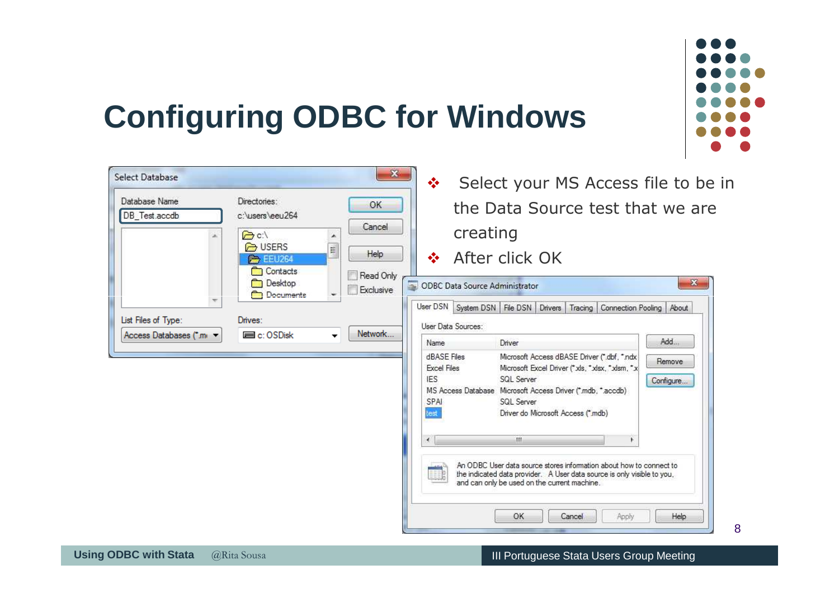

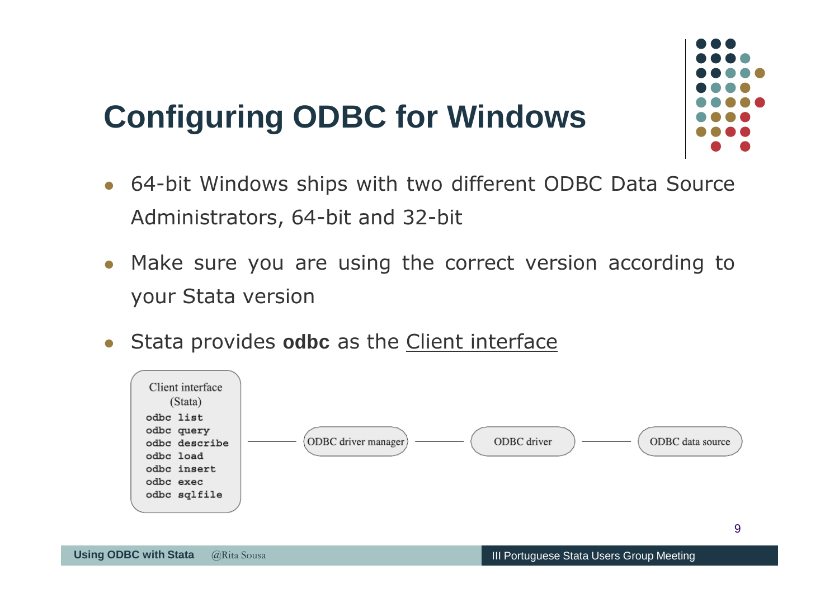

- 64-bit Windows ships with two different ODBC Data Source Administrators, 64-bit and 32-bit
- Make sure you are using the correct version according to your Stata version
- $\bullet$ Stata provides **odbc** as the Client interface

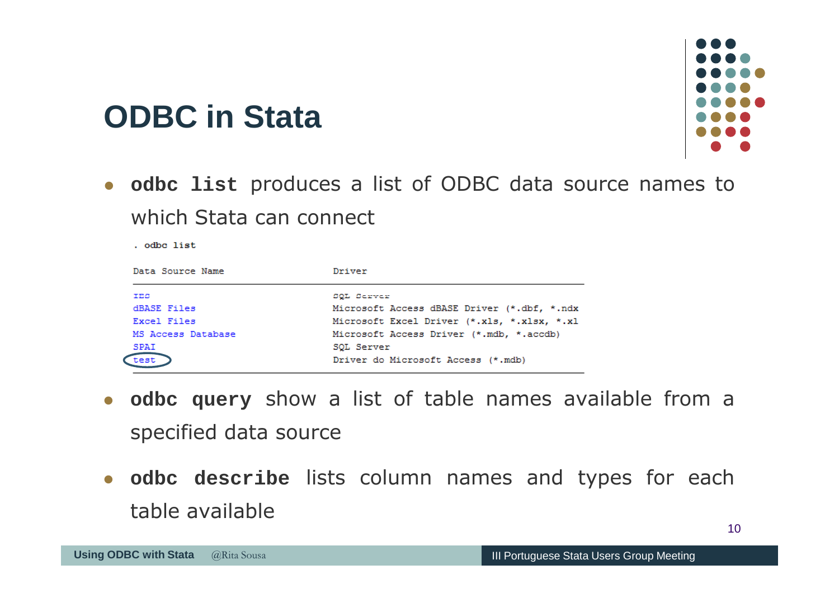- **odbc list** produces <sup>a</sup> list of ODBC data source names to which Stata can connect

| Data Source Name   | Driver                                      |
|--------------------|---------------------------------------------|
| <b>IES</b>         | SOL Server                                  |
| dBASE Files        | Microsoft Access dBASE Driver (*.dbf, *.ndx |
| Excel Files        | Microsoft Excel Driver (*.xls, *.xlsx, *.xl |
| MS Access Database | Microsoft Access Driver (*.mdb, *.accdb)    |
| <b>SPAI</b>        | SOL Server                                  |
| test               | Driver do Microsoft Access (*.mdb)          |
|                    |                                             |

- $\bullet$  **odbc query** show <sup>a</sup> list of table names available from <sup>a</sup> specified data source
- **•** odbc describe lists column names and types for each table available

**ODBC in Stata**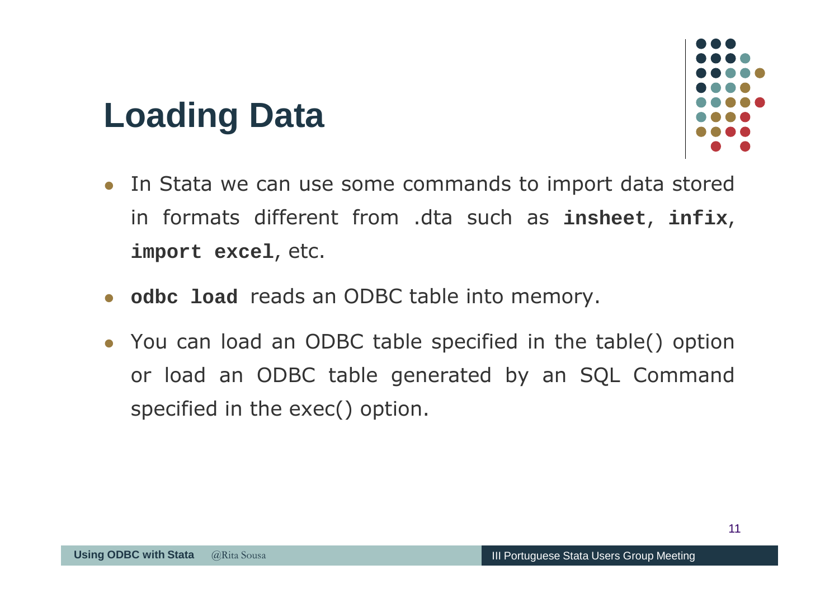## **Loading Data**

- In Stata we can use some commands to import data stored in formats different from .dta such as **insheet**, **infix**, **import excel**, etc.
- **odbc load** reads an ODBC table into memory.
- You can load an ODBC table specified in the table() option or load an ODBC table generated by an SQL Command specified in the exec() option.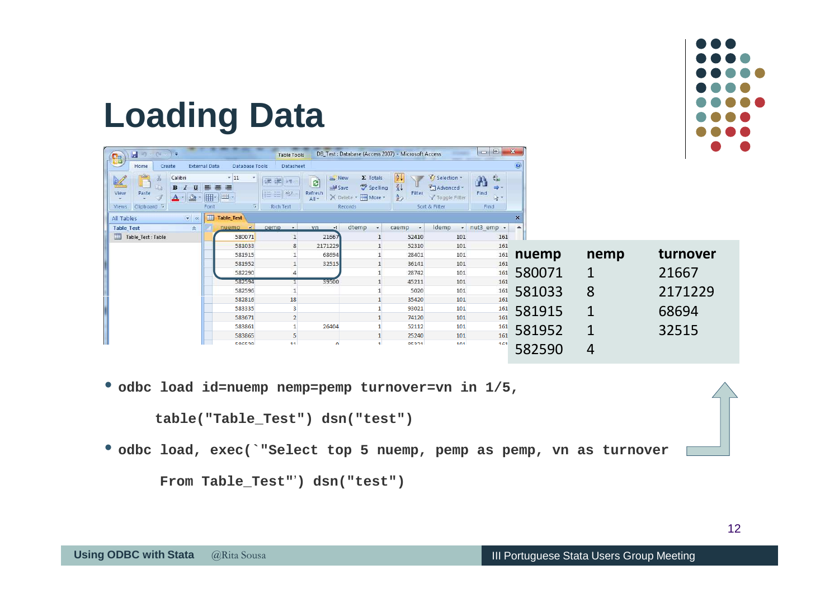

### **Loading Data**

| $-10 - (1 - 1)$                                                  |                                          | <b>Table Tools</b>                                          | DB_Test: Database (Access 2007) - Microsoft Access                |                                                           |                                              | $\left\  \mathbf{e} \right\ $                           | $\mathbf{x}$ |             |          |
|------------------------------------------------------------------|------------------------------------------|-------------------------------------------------------------|-------------------------------------------------------------------|-----------------------------------------------------------|----------------------------------------------|---------------------------------------------------------|--------------|-------------|----------|
| S<br><b>External Data</b><br>Home<br>Create                      | <b>Database Tools</b>                    | Datasheet                                                   |                                                                   |                                                           |                                              |                                                         | $\odot$      |             |          |
| Calibri<br>-du<br>三<br>B<br>U<br>View<br>Paste<br>$\mathbf{A}$ - | $-11$<br>畫 畫<br>冊<br><b>ERS</b>          | $\overline{\mathbf{e}}$<br>建建团<br>Refresh<br>扫目物<br>$All -$ | $\Sigma$ Totals<br>New<br>Spelling<br>B Save<br>X Delete + More + | $\frac{A}{2}$<br>$\frac{7}{4}$<br>Filter<br>$\frac{1}{2}$ | V Selection ~<br>Advanced *<br>Toggle Filter | $\frac{a}{b}$ ac<br>Ä<br><b>SIGN</b><br>Find<br>$1 + 7$ |              |             |          |
| Clipboard <sup>Is</sup><br>Views                                 | Font<br>T5i                              | <b>Rich Text</b>                                            | Records                                                           |                                                           | Sort & Filter                                | Find                                                    |              |             |          |
| $\mathbf{r}$ $\mathbf{K}$<br>All Tables                          | 围<br><b>Table Test</b><br>ंचा ।<br>nuemp | $\sim$<br>pemp<br>vn                                        | dtemp<br>$+1$<br>$\star$                                          | caemp<br>$\mathbf{v}$                                     | Idemp                                        | * nut3 emp *                                            | $\times$     |             |          |
| <b>Table Test</b><br>$\hat{\mathbf{x}}$<br>Table_Test : Table    | 580071                                   | $\mathbf{1}$<br>21667                                       |                                                                   | 52410                                                     | 101                                          | 161                                                     |              |             |          |
|                                                                  | 581033                                   | 8<br>2171229                                                |                                                                   | 52310                                                     | 101                                          | 161                                                     |              |             |          |
|                                                                  | 581915                                   | 68694                                                       |                                                                   | 28401                                                     | 101                                          | 161                                                     | nuemp        | nemp        | turnover |
|                                                                  | 581952                                   | 32515                                                       |                                                                   | 36141                                                     | 101                                          | 161                                                     |              |             |          |
|                                                                  | 582290                                   | 39500                                                       |                                                                   | 28742                                                     | 101                                          | 161                                                     | 580071       | $\mathbf 1$ | 21667    |
|                                                                  | 582594<br>582596                         |                                                             | $\mathbf{1}$<br>$\mathbf{1}$                                      | 45211<br>5020                                             | 101<br>101                                   | 161<br>161                                              |              |             |          |
|                                                                  | 582816                                   | 18                                                          |                                                                   | 35420                                                     | 101                                          | 161                                                     | 581033       | 8           | 2171229  |
|                                                                  | 583335                                   | $\overline{\mathbf{3}}$                                     |                                                                   | 93021                                                     | 101                                          | 161                                                     | 581915       | 1           | 68694    |
|                                                                  | 583671                                   | $\overline{2}$                                              |                                                                   | 74120                                                     | 101                                          | 161                                                     |              |             |          |
|                                                                  | 583861                                   | 26404                                                       |                                                                   | 52112                                                     | 101                                          | 161                                                     | 581952       | $\mathbf 1$ | 32515    |
|                                                                  | 583865<br>506570                         | 5<br>11                                                     | 1.                                                                | 25240<br>05001                                            | 101<br>101                                   | 161                                                     |              |             |          |
|                                                                  |                                          |                                                             | $\Omega$                                                          |                                                           |                                              | 161                                                     | 582590       | 4           |          |

• **odbc load id=nuemp nemp=pemp turnover=vn in 1/5,** 

**table("Table\_Test") dsn("test")**

• **odbc load, exec(`"Select top 5 nuemp, pemp as pemp, vn as turnover** 

**From Table\_Test"**'**) dsn("test")**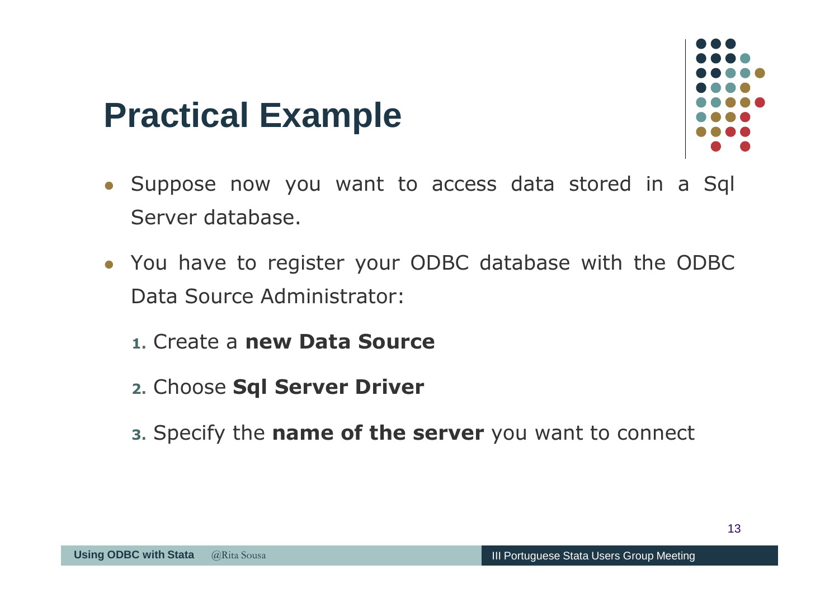

- Suppose now you want to access data stored in <sup>a</sup> Sql Server database.
- You have to register your ODBC database with the ODBC Data Source Administrator:
	- **1.** Create <sup>a</sup> **new Data Source**
	- **2.** Choose **Sql Server Driver**
	- **3.** Specify the **name of the server** you want to connect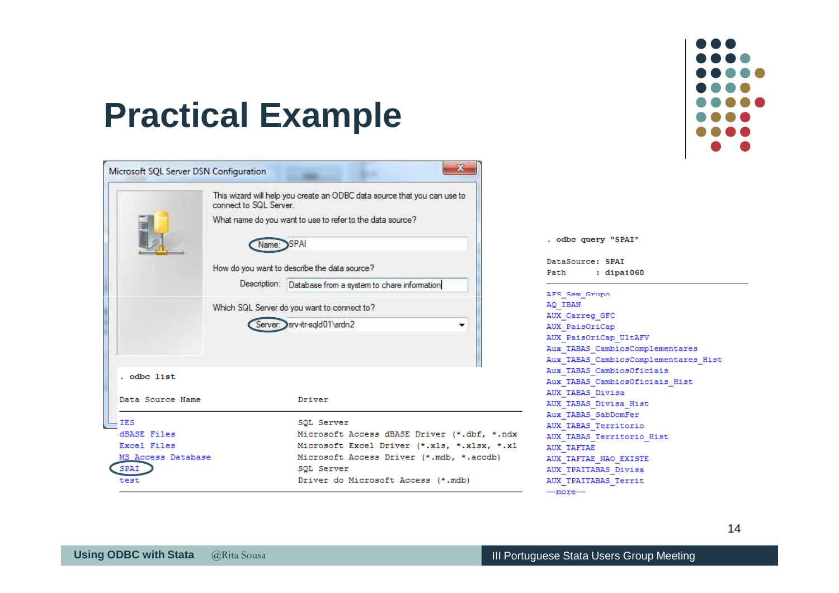

| Microsoft SQL Server DSN Configuration |                        | Ж                                                                        |
|----------------------------------------|------------------------|--------------------------------------------------------------------------|
|                                        | connect to SQL Server. | This wizard will help you create an ODBC data source that you can use to |
|                                        |                        | What name do you want to use to refer to the data source?                |
|                                        |                        | SPAI                                                                     |
|                                        |                        | How do you want to describe the data source?                             |
|                                        |                        | Description: Database from a system to chare information                 |
|                                        |                        | Which SQL Server do you want to connect to?                              |
|                                        |                        | Server: srv-itr-sqld01\srdn2                                             |
|                                        |                        |                                                                          |
|                                        |                        |                                                                          |
| . odbc list                            |                        |                                                                          |
| Data Source Name                       |                        | Driver                                                                   |
| <b>IES</b>                             |                        | SQL Server                                                               |
| <b>dBASE Files</b>                     |                        | Microsoft Access dBASE Driver (*.dbf, *.ndx                              |
| Excel Files                            |                        | Microsoft Excel Driver (*.xls, *.xlsx, *.xl                              |
| MS Access Database                     |                        | Microsoft Access Driver (*.mdb, *.accdb)                                 |
| <b>SPAI</b>                            |                        | SOL Server                                                               |
| test                                   |                        | Driver do Microsoft Access (*.mdb)                                       |

|          | . odbc query "SPAI"                  |
|----------|--------------------------------------|
|          | DataSource: SPAI                     |
|          | Path : dipai060                      |
|          | AFS Sem Grupo                        |
|          | AQ IBAN                              |
|          | AUX Carreg GFC                       |
|          | AUX PaisOriCap                       |
|          | AUX PaisOriCap UltAFV                |
|          | Aux TABAS CambiosComplementares      |
|          | Aux TABAS CambiosComplementares Hist |
|          | Aux TABAS CambiosOficiais            |
|          | Aux TABAS CambiosOficiais Hist       |
|          | AUX TABAS Divisa                     |
|          | AUX TABAS Divisa Hist                |
|          | Aux TABAS SabDomFer                  |
|          | AUX TABAS Territorio                 |
| $*$ .ndx | AUX TABAS Territorio Hist            |
| , *.xl   | AUX TAFTAE                           |
| ib)      | AUX TAFTAE NAO EXISTE                |
|          | AUX TPAITABAS Divisa                 |
|          | AUX TPAITABAS Territ                 |
|          | —more—                               |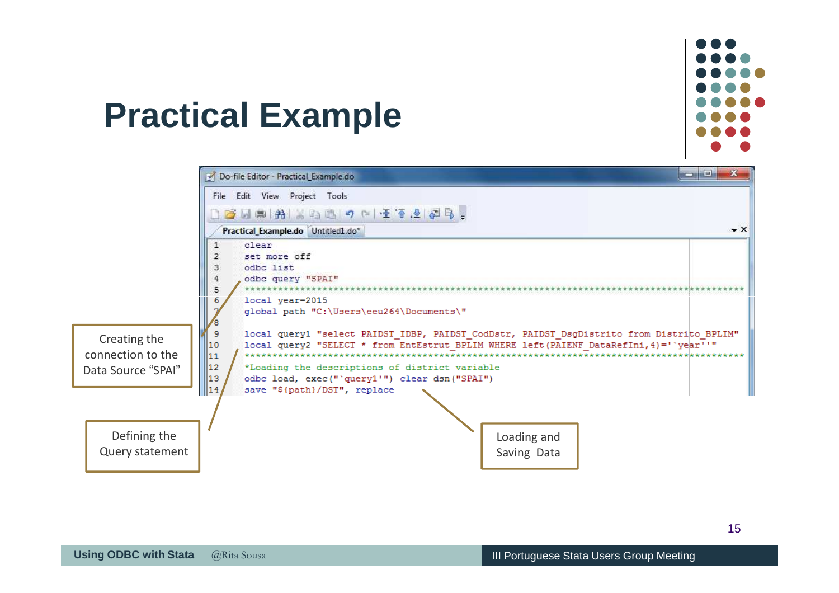

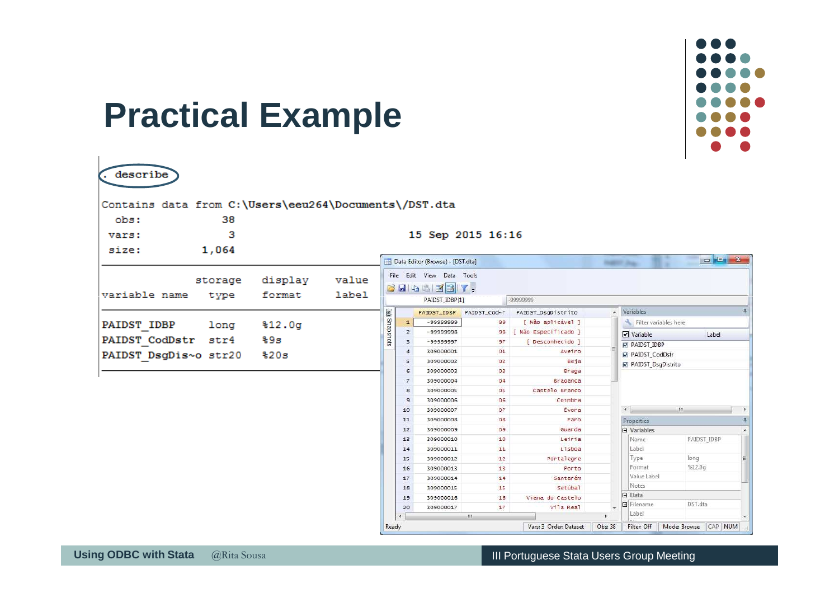

| obs:                  | 38      | Contains data from C:\Users\eeu264\Documents\/DST.dta |       |               |                         |                                  |                   |                    |                          |                                   |                  |
|-----------------------|---------|-------------------------------------------------------|-------|---------------|-------------------------|----------------------------------|-------------------|--------------------|--------------------------|-----------------------------------|------------------|
| vars:                 | з       |                                                       |       |               |                         |                                  | 15 Sep 2015 16:16 |                    |                          |                                   |                  |
|                       |         |                                                       |       |               |                         |                                  |                   |                    |                          |                                   |                  |
| size:                 | 1,064   |                                                       |       |               |                         | Data Editor (Browse) - [DST.dta] |                   |                    |                          |                                   | $\Box \Box \Box$ |
|                       |         |                                                       |       |               |                         |                                  |                   |                    |                          | <b>INSERT PART</b>                |                  |
|                       | storage | display                                               | value |               |                         | File Edit View Data Tools        |                   |                    |                          |                                   |                  |
| variable name         |         | format                                                | label |               |                         | BHaadin't.                       |                   |                    |                          |                                   |                  |
|                       | type    |                                                       |       |               |                         | PAIDST_IDBP[1]                   |                   | -99999999          |                          |                                   |                  |
|                       |         |                                                       |       |               |                         | PAIDST_IDBP                      | PAIDST_Cod~r      | PAIDST_DsgDistrito |                          | A Variables                       |                  |
| <b>PAIDST IDBP</b>    | long    | \$12.0g                                               |       | ajo Snapshots | $\mathbf{1}$            | -99999999                        | 99                | [ Não aplicável ]  |                          | Filter variables here             |                  |
|                       |         |                                                       |       |               | $\overline{2}$          | $-99999998$                      | 98                | Não Especificado ] |                          | Variable                          | Label            |
| PAIDST CodDstr        | str4    | %9з                                                   |       |               | $\overline{\mathbf{3}}$ | -99999997                        | 97                | [ Desconhecido ]   |                          | <b>M</b> PAIDST IDBP              |                  |
| PAIDST DsgDis~o str20 |         | \$20s                                                 |       |               | $\overline{4}$          | 309000001                        | 01                | Aveiro             |                          | PAIDST CodDstr                    |                  |
|                       |         |                                                       |       |               | 5                       | 309000002                        | 02                | Beja               |                          | <b>☑</b> PAIDST_DsqDistrito       |                  |
|                       |         |                                                       |       |               | 6                       | 309000003                        | 03                | Braga              |                          |                                   |                  |
|                       |         |                                                       |       |               | $\overline{7}$          | 309000004                        | 04                | Bragança           |                          |                                   |                  |
|                       |         |                                                       |       |               | 8                       | 309000005                        | 05                | Castelo Branco     |                          |                                   |                  |
|                       |         |                                                       |       |               | $\overline{9}$          | 309000006                        | 06                | Coimbra            |                          |                                   |                  |
|                       |         |                                                       |       |               | 10                      | 309000007                        | 07                | <b>Évor</b> a      |                          | $\left\vert 1\right\rangle$       | III.             |
|                       |         |                                                       |       |               | 11                      | 309000008                        | O <sub>8</sub>    | Faro               |                          | Properties                        |                  |
|                       |         |                                                       |       |               | 12                      | 309000009                        | 09                | Guarda             |                          | <b>El Variables</b>               |                  |
|                       |         |                                                       |       |               | 13                      | 309000010                        | 10                | Leiria             |                          | Name                              | PAIDST IDBP      |
|                       |         |                                                       |       |               | 14                      | 309000011                        | 11                | Lisboa             |                          | Label                             |                  |
|                       |         |                                                       |       |               | 15                      | 309000012                        | 12                | Portalegre         |                          | Type                              | long             |
|                       |         |                                                       |       |               | 16                      | 309000013                        | 13                | Porto              |                          | Format                            | %12.0q           |
|                       |         |                                                       |       |               | 17                      | 309000014                        | 14                | Santarém           |                          | Value Label                       |                  |
|                       |         |                                                       |       |               | 18                      | 309000015                        | 15                | Setúbal            |                          | Notes                             |                  |
|                       |         |                                                       |       |               | 19                      | 309000016                        | 16                | Viana do Castelo   |                          | $\Box$ Data<br><b>El</b> Filename | DST.dta          |
|                       |         |                                                       |       |               | 20                      | 309000017                        | 17                | Vila Real          | $\overline{\phantom{0}}$ |                                   |                  |

 $\mathbf{I}$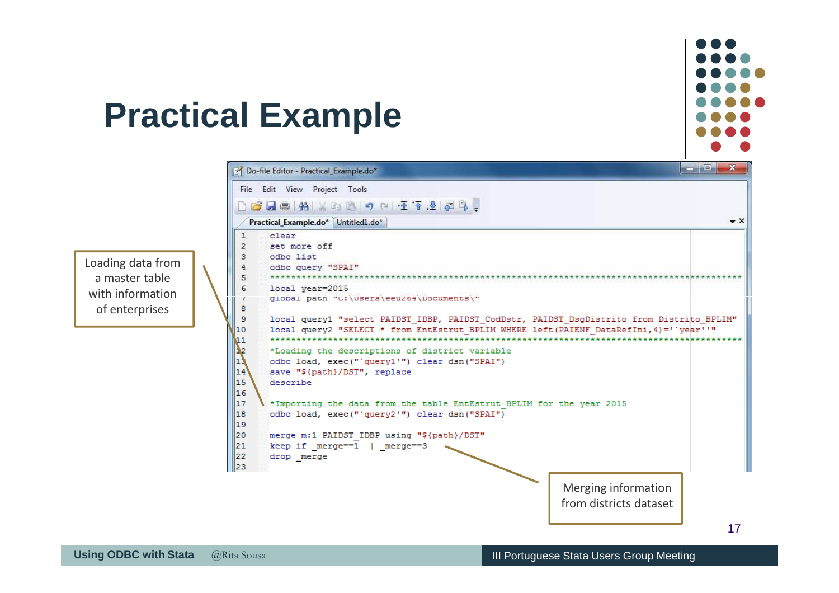

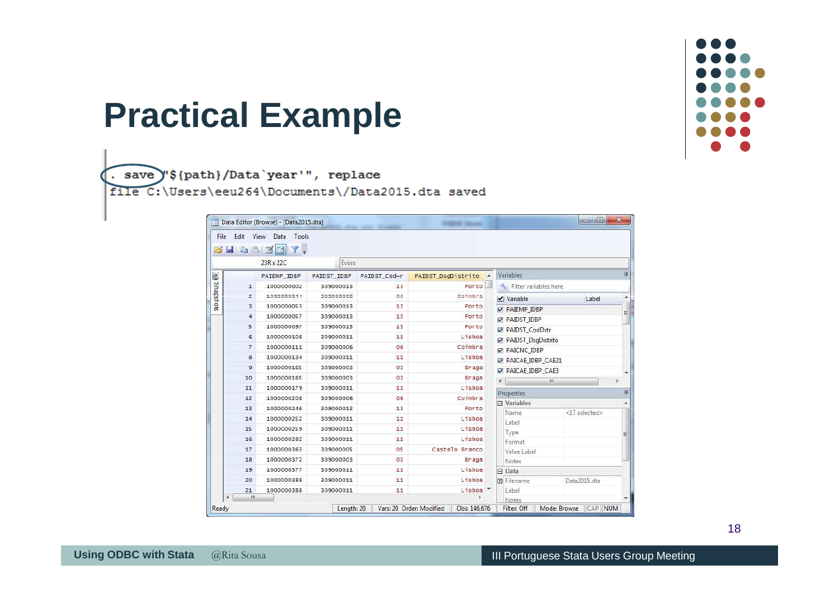

. save "\${path}/Data`year'", replace file C:\Users\eeu264\Documents\/Data2015.dta saved

| 23R x 22C<br>Evora<br>具<br>Variables<br>PAIDST_DsgDistrito A<br>PAIDST_IDBP<br>PAIDST_Cod~r<br>PAIEMP_IDBP<br>邏<br>Porto<br>Filter variables here<br>1000000002<br>309000013<br>13<br>$\mathbf{1}$<br>Coimbra<br>1000000044<br>30900006<br>OG.<br>2<br>$\triangledown$ Variable<br>Label<br>×<br>1000000053<br>309000013<br>13<br>Porto<br>з<br>PAIEMP IDBP<br>E<br>13<br>1000000057<br>Porto<br>309000013<br>4<br>PAIDST IDBP<br>1000000097<br>309000013<br>13<br>Porto<br>5<br>PAIDST_CodDstr<br>Lisboa<br>11<br>1000000108<br>309000011<br>6<br>PAIDST_DsgDistrito<br>Coimbra<br>1000000111<br>309000006<br>06<br>7<br>PAICNC IDBP<br>11<br>Lisboa<br>1000000134<br>309000011<br>8<br>PAICAE IDBP_CAE21<br>1000000165<br>03<br>э<br>309000003<br>Braga<br>PAICAE_IDBP_CAE3<br>03<br>1000000165<br>10<br>309000003<br>Braga<br>$\leftarrow$<br>111<br>Lisboa<br>1000000179<br>309000011<br>11<br>11<br>具<br>Properties<br>Coimbra<br>06<br>1000000208<br>309000006<br>12<br>$\Box$ Variables<br>۸<br>1000000246<br>13<br>309000013<br>Porto<br>13<br><17 selected><br>Name<br>1000000252<br>11<br>Lisboa<br>309000011<br>14<br>Label<br>Lisboa<br>1000000259<br>11<br>15<br>309000011<br>Type<br>Ξ<br>Lisboa<br>1000000282<br>309000011<br>11<br>16<br>Format<br>Castelo Branco<br>1000000363<br>309000005<br>05<br>17<br>Value Label<br>1000000372<br>03<br>309000003<br>Braga<br>18<br>Notes<br>Lisboa<br>1000000377<br>19<br>309000011<br>11<br>$\Box$ Data<br>11<br>Lisboa<br>1000000388<br>309000011<br><b>Filename</b><br>Data2015.dta<br>20 | Haa   | $\mathbf{r}$ .<br>71.1 |  |  |  |  |  |  |  |
|------------------------------------------------------------------------------------------------------------------------------------------------------------------------------------------------------------------------------------------------------------------------------------------------------------------------------------------------------------------------------------------------------------------------------------------------------------------------------------------------------------------------------------------------------------------------------------------------------------------------------------------------------------------------------------------------------------------------------------------------------------------------------------------------------------------------------------------------------------------------------------------------------------------------------------------------------------------------------------------------------------------------------------------------------------------------------------------------------------------------------------------------------------------------------------------------------------------------------------------------------------------------------------------------------------------------------------------------------------------------------------------------------------------------------------------------------------------------------------------------------------------------------------------------------|-------|------------------------|--|--|--|--|--|--|--|
|                                                                                                                                                                                                                                                                                                                                                                                                                                                                                                                                                                                                                                                                                                                                                                                                                                                                                                                                                                                                                                                                                                                                                                                                                                                                                                                                                                                                                                                                                                                                                      |       |                        |  |  |  |  |  |  |  |
|                                                                                                                                                                                                                                                                                                                                                                                                                                                                                                                                                                                                                                                                                                                                                                                                                                                                                                                                                                                                                                                                                                                                                                                                                                                                                                                                                                                                                                                                                                                                                      |       |                        |  |  |  |  |  |  |  |
|                                                                                                                                                                                                                                                                                                                                                                                                                                                                                                                                                                                                                                                                                                                                                                                                                                                                                                                                                                                                                                                                                                                                                                                                                                                                                                                                                                                                                                                                                                                                                      |       |                        |  |  |  |  |  |  |  |
|                                                                                                                                                                                                                                                                                                                                                                                                                                                                                                                                                                                                                                                                                                                                                                                                                                                                                                                                                                                                                                                                                                                                                                                                                                                                                                                                                                                                                                                                                                                                                      |       |                        |  |  |  |  |  |  |  |
|                                                                                                                                                                                                                                                                                                                                                                                                                                                                                                                                                                                                                                                                                                                                                                                                                                                                                                                                                                                                                                                                                                                                                                                                                                                                                                                                                                                                                                                                                                                                                      |       |                        |  |  |  |  |  |  |  |
|                                                                                                                                                                                                                                                                                                                                                                                                                                                                                                                                                                                                                                                                                                                                                                                                                                                                                                                                                                                                                                                                                                                                                                                                                                                                                                                                                                                                                                                                                                                                                      |       |                        |  |  |  |  |  |  |  |
|                                                                                                                                                                                                                                                                                                                                                                                                                                                                                                                                                                                                                                                                                                                                                                                                                                                                                                                                                                                                                                                                                                                                                                                                                                                                                                                                                                                                                                                                                                                                                      |       |                        |  |  |  |  |  |  |  |
|                                                                                                                                                                                                                                                                                                                                                                                                                                                                                                                                                                                                                                                                                                                                                                                                                                                                                                                                                                                                                                                                                                                                                                                                                                                                                                                                                                                                                                                                                                                                                      |       |                        |  |  |  |  |  |  |  |
|                                                                                                                                                                                                                                                                                                                                                                                                                                                                                                                                                                                                                                                                                                                                                                                                                                                                                                                                                                                                                                                                                                                                                                                                                                                                                                                                                                                                                                                                                                                                                      |       |                        |  |  |  |  |  |  |  |
|                                                                                                                                                                                                                                                                                                                                                                                                                                                                                                                                                                                                                                                                                                                                                                                                                                                                                                                                                                                                                                                                                                                                                                                                                                                                                                                                                                                                                                                                                                                                                      |       |                        |  |  |  |  |  |  |  |
|                                                                                                                                                                                                                                                                                                                                                                                                                                                                                                                                                                                                                                                                                                                                                                                                                                                                                                                                                                                                                                                                                                                                                                                                                                                                                                                                                                                                                                                                                                                                                      |       |                        |  |  |  |  |  |  |  |
|                                                                                                                                                                                                                                                                                                                                                                                                                                                                                                                                                                                                                                                                                                                                                                                                                                                                                                                                                                                                                                                                                                                                                                                                                                                                                                                                                                                                                                                                                                                                                      |       |                        |  |  |  |  |  |  |  |
|                                                                                                                                                                                                                                                                                                                                                                                                                                                                                                                                                                                                                                                                                                                                                                                                                                                                                                                                                                                                                                                                                                                                                                                                                                                                                                                                                                                                                                                                                                                                                      |       |                        |  |  |  |  |  |  |  |
|                                                                                                                                                                                                                                                                                                                                                                                                                                                                                                                                                                                                                                                                                                                                                                                                                                                                                                                                                                                                                                                                                                                                                                                                                                                                                                                                                                                                                                                                                                                                                      |       |                        |  |  |  |  |  |  |  |
|                                                                                                                                                                                                                                                                                                                                                                                                                                                                                                                                                                                                                                                                                                                                                                                                                                                                                                                                                                                                                                                                                                                                                                                                                                                                                                                                                                                                                                                                                                                                                      |       |                        |  |  |  |  |  |  |  |
|                                                                                                                                                                                                                                                                                                                                                                                                                                                                                                                                                                                                                                                                                                                                                                                                                                                                                                                                                                                                                                                                                                                                                                                                                                                                                                                                                                                                                                                                                                                                                      |       |                        |  |  |  |  |  |  |  |
|                                                                                                                                                                                                                                                                                                                                                                                                                                                                                                                                                                                                                                                                                                                                                                                                                                                                                                                                                                                                                                                                                                                                                                                                                                                                                                                                                                                                                                                                                                                                                      |       |                        |  |  |  |  |  |  |  |
|                                                                                                                                                                                                                                                                                                                                                                                                                                                                                                                                                                                                                                                                                                                                                                                                                                                                                                                                                                                                                                                                                                                                                                                                                                                                                                                                                                                                                                                                                                                                                      |       |                        |  |  |  |  |  |  |  |
|                                                                                                                                                                                                                                                                                                                                                                                                                                                                                                                                                                                                                                                                                                                                                                                                                                                                                                                                                                                                                                                                                                                                                                                                                                                                                                                                                                                                                                                                                                                                                      |       |                        |  |  |  |  |  |  |  |
|                                                                                                                                                                                                                                                                                                                                                                                                                                                                                                                                                                                                                                                                                                                                                                                                                                                                                                                                                                                                                                                                                                                                                                                                                                                                                                                                                                                                                                                                                                                                                      |       |                        |  |  |  |  |  |  |  |
|                                                                                                                                                                                                                                                                                                                                                                                                                                                                                                                                                                                                                                                                                                                                                                                                                                                                                                                                                                                                                                                                                                                                                                                                                                                                                                                                                                                                                                                                                                                                                      |       |                        |  |  |  |  |  |  |  |
|                                                                                                                                                                                                                                                                                                                                                                                                                                                                                                                                                                                                                                                                                                                                                                                                                                                                                                                                                                                                                                                                                                                                                                                                                                                                                                                                                                                                                                                                                                                                                      |       |                        |  |  |  |  |  |  |  |
| Lisboa <sup>+</sup><br>1000000388<br>11<br>Label<br>21<br>309000011                                                                                                                                                                                                                                                                                                                                                                                                                                                                                                                                                                                                                                                                                                                                                                                                                                                                                                                                                                                                                                                                                                                                                                                                                                                                                                                                                                                                                                                                                  |       |                        |  |  |  |  |  |  |  |
| m<br>Notes<br>Mode: Browse CAP NUM<br>Length: 20<br>Vars: 20 Order: Modified<br>Obs: 146,676<br>Filter: Off                                                                                                                                                                                                                                                                                                                                                                                                                                                                                                                                                                                                                                                                                                                                                                                                                                                                                                                                                                                                                                                                                                                                                                                                                                                                                                                                                                                                                                          | Ready |                        |  |  |  |  |  |  |  |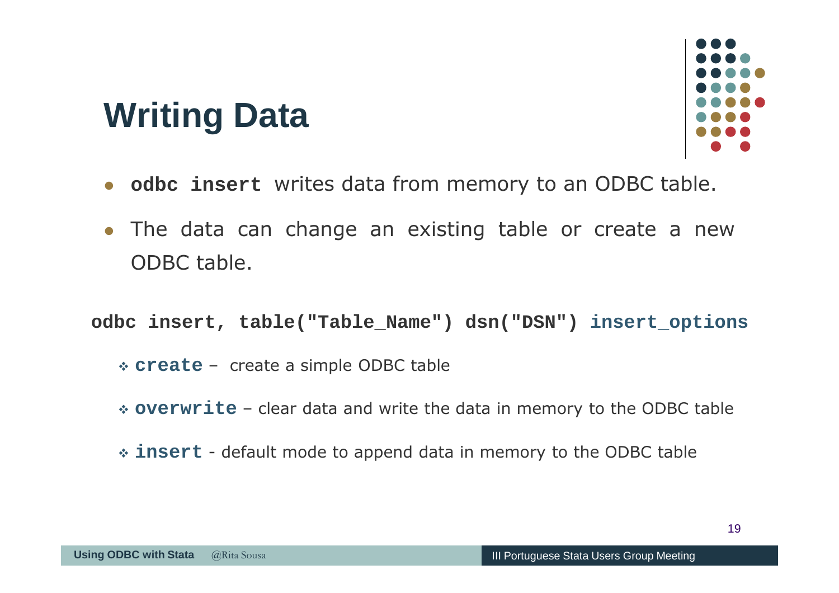#### **Writing Data**



- **odbc insert** writes data from memory to an ODBC table.
- - The data can change an existing table or create <sup>a</sup> new ODBC table.

**odbc insert, table("Table\_Name") dsn("DSN") insert\_options**

- **create** create <sup>a</sup> simple ODBC table
- **overwrite** clear data and write the data in memory to the ODBC table
- **insert** default mode to append data in memory to the ODBC table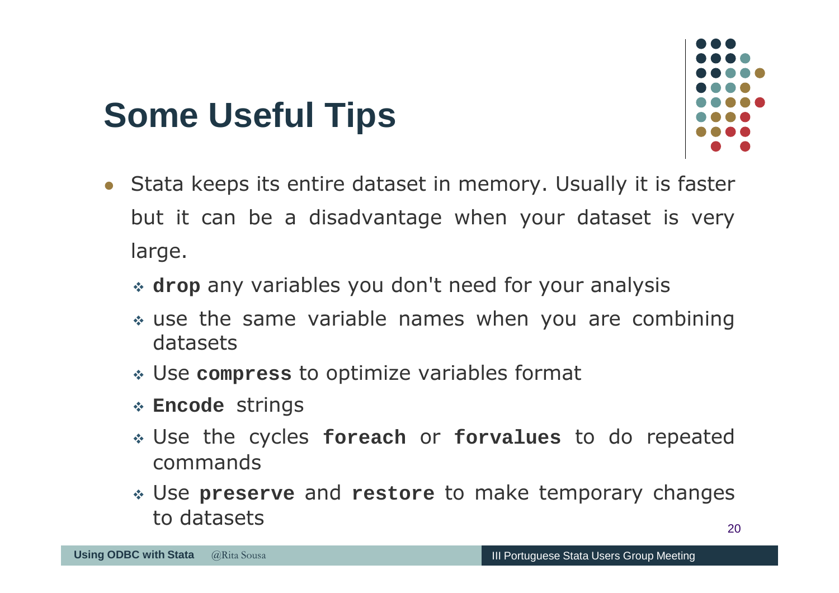# **Some Useful Tips**



- Stata keeps its entire dataset in memory. Usually it is faste rbut it can be <sup>a</sup> disadvantage when your dataset is very large.
	- **drop** any variables you don't need for your analysis
	- use the same variable names when you are combining datasets
	- Use **compress** to optimize variables format
	- **Encode** strings
	- Use the cycles **foreach** or **forvalues** to do repeated commands
	- $\overline{\phantom{a}}$  Use **preserve** and **restore** to make temporary changes to datasets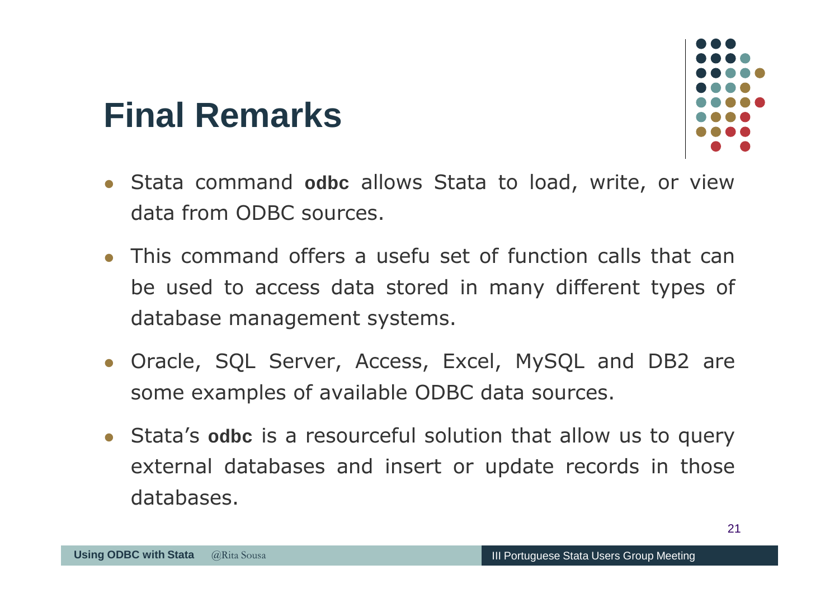#### - Stata command **odbc** allows Stata to load, write, or view data from ODBC sources.

- This command offers a usefu set of function calls that can be used to access data stored in many different types of database management systems.
- Oracle, SQL Server, Access, Excel, MySQL and DB2 are some examples of available ODBC data sources.
- XX Congresso da Sociedade Portuguesa de Estatística- Stata's **odbc** is <sup>a</sup> resourceful solution that allow us to query external databases and insert or update records in those databases.

**Final Remarks**